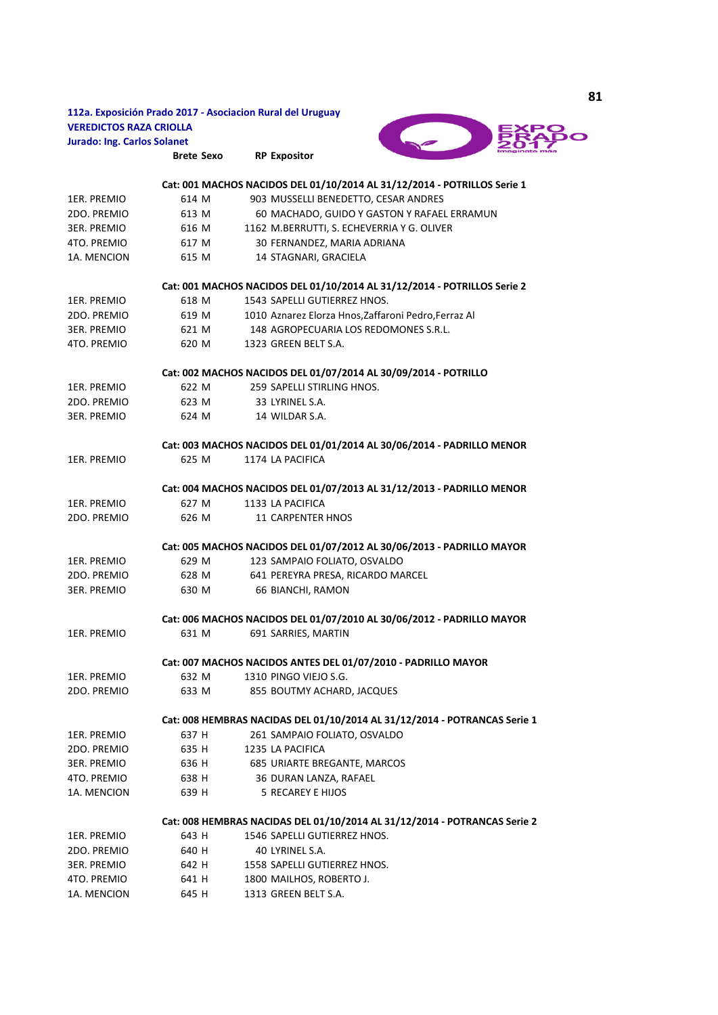|                                    |                   | 112a. Exposición Prado 2017 - Asociacion Rural del Uruguay                |
|------------------------------------|-------------------|---------------------------------------------------------------------------|
| <b>VEREDICTOS RAZA CRIOLLA</b>     |                   |                                                                           |
| <b>Jurado: Ing. Carlos Solanet</b> |                   |                                                                           |
|                                    | <b>Brete Sexo</b> | <b>RP Expositor</b>                                                       |
|                                    |                   |                                                                           |
|                                    |                   | Cat: 001 MACHOS NACIDOS DEL 01/10/2014 AL 31/12/2014 - POTRILLOS Serie 1  |
| 1ER. PREMIO                        | 614 M             | 903 MUSSELLI BENEDETTO, CESAR ANDRES                                      |
| 2DO. PREMIO                        | 613 M             | 60 MACHADO, GUIDO Y GASTON Y RAFAEL ERRAMUN                               |
| 3ER. PREMIO                        | 616 M             | 1162 M.BERRUTTI, S. ECHEVERRIA Y G. OLIVER                                |
| 4TO. PREMIO                        | 617 M             | 30 FERNANDEZ, MARIA ADRIANA                                               |
| 1A. MENCION                        | 615 M             | 14 STAGNARI, GRACIELA                                                     |
|                                    |                   | Cat: 001 MACHOS NACIDOS DEL 01/10/2014 AL 31/12/2014 - POTRILLOS Serie 2  |
| 1ER. PREMIO                        | 618 M             | 1543 SAPELLI GUTIERREZ HNOS.                                              |
| 2DO. PREMIO                        | 619 M             | 1010 Aznarez Elorza Hnos, Zaffaroni Pedro, Ferraz Al                      |
| <b>3ER. PREMIO</b>                 | 621 M             | 148 AGROPECUARIA LOS REDOMONES S.R.L.                                     |
| 4TO. PREMIO                        | 620 M             | 1323 GREEN BELT S.A.                                                      |
|                                    |                   | Cat: 002 MACHOS NACIDOS DEL 01/07/2014 AL 30/09/2014 - POTRILLO           |
| 1ER. PREMIO                        | 622 M             | 259 SAPELLI STIRLING HNOS.                                                |
| 2DO. PREMIO                        | 623 M             | 33 LYRINEL S.A.                                                           |
| <b>3ER. PREMIO</b>                 | 624 M             | 14 WILDAR S.A.                                                            |
|                                    |                   | Cat: 003 MACHOS NACIDOS DEL 01/01/2014 AL 30/06/2014 - PADRILLO MENOR     |
| 1ER. PREMIO                        | 625 M             | 1174 LA PACIFICA                                                          |
|                                    |                   |                                                                           |
|                                    |                   | Cat: 004 MACHOS NACIDOS DEL 01/07/2013 AL 31/12/2013 - PADRILLO MENOR     |
| 1ER. PREMIO                        | 627 M             | 1133 LA PACIFICA                                                          |
| 2DO. PREMIO                        | 626 M             | <b>11 CARPENTER HNOS</b>                                                  |
|                                    |                   | Cat: 005 MACHOS NACIDOS DEL 01/07/2012 AL 30/06/2013 - PADRILLO MAYOR     |
| 1ER. PREMIO                        | 629 M             | 123 SAMPAIO FOLIATO, OSVALDO                                              |
| 2DO. PREMIO                        | 628 M             | 641 PEREYRA PRESA, RICARDO MARCEL                                         |
| <b>3ER. PREMIO</b>                 | 630 M             | 66 BIANCHI, RAMON                                                         |
|                                    |                   | Cat: 006 MACHOS NACIDOS DEL 01/07/2010 AL 30/06/2012 - PADRILLO MAYOR     |
| 1ER. PREMIO                        | 631 M             | 691 SARRIES, MARTIN                                                       |
|                                    |                   |                                                                           |
|                                    |                   | Cat: 007 MACHOS NACIDOS ANTES DEL 01/07/2010 - PADRILLO MAYOR             |
| 1ER. PREMIO                        | 632 M             | 1310 PINGO VIEJO S.G.                                                     |
| 2DO. PREMIO                        | 633 M             | 855 BOUTMY ACHARD, JACQUES                                                |
|                                    |                   | Cat: 008 HEMBRAS NACIDAS DEL 01/10/2014 AL 31/12/2014 - POTRANCAS Serie 1 |
| 1ER. PREMIO                        | 637 H             | 261 SAMPAIO FOLIATO, OSVALDO                                              |
| 2DO. PREMIO                        | 635 H             | 1235 LA PACIFICA                                                          |
| <b>3ER. PREMIO</b>                 | 636 H             | 685 URIARTE BREGANTE, MARCOS                                              |
| 4TO. PREMIO                        | 638 H             | 36 DURAN LANZA, RAFAEL                                                    |
| 1A. MENCION                        | 639 H             | <b>5 RECAREY E HIJOS</b>                                                  |
|                                    |                   | Cat: 008 HEMBRAS NACIDAS DEL 01/10/2014 AL 31/12/2014 - POTRANCAS Serie 2 |
| 1ER. PREMIO                        | 643 H             | 1546 SAPELLI GUTIERREZ HNOS.                                              |
| 2DO. PREMIO                        | 640 H             | 40 LYRINEL S.A.                                                           |
| 3ER. PREMIO                        | 642 H             | 1558 SAPELLI GUTIERREZ HNOS.                                              |
| 4TO. PREMIO                        | 641 H             | 1800 MAILHOS, ROBERTO J.                                                  |
| 1A. MENCION                        | 645 H             | 1313 GREEN BELT S.A.                                                      |
|                                    |                   |                                                                           |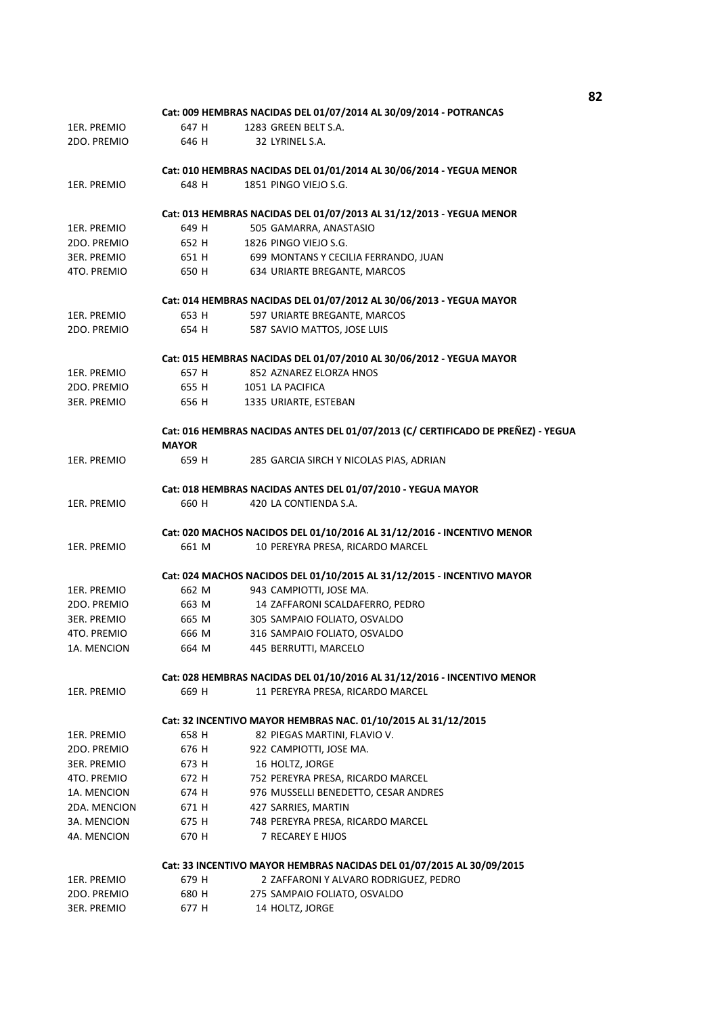|                    |              | Cat: 009 HEMBRAS NACIDAS DEL 01/07/2014 AL 30/09/2014 - POTRANCAS                |
|--------------------|--------------|----------------------------------------------------------------------------------|
| 1ER. PREMIO        | 647 H        | 1283 GREEN BELT S.A.                                                             |
| 2DO. PREMIO        | 646 H        | 32 LYRINEL S.A.                                                                  |
|                    |              | Cat: 010 HEMBRAS NACIDAS DEL 01/01/2014 AL 30/06/2014 - YEGUA MENOR              |
| 1ER. PREMIO        | 648 H        | 1851 PINGO VIEJO S.G.                                                            |
|                    |              | Cat: 013 HEMBRAS NACIDAS DEL 01/07/2013 AL 31/12/2013 - YEGUA MENOR              |
| 1ER. PREMIO        | 649 H        | 505 GAMARRA, ANASTASIO                                                           |
| 2DO. PREMIO        | 652 H        | 1826 PINGO VIEJO S.G.                                                            |
| <b>3ER. PREMIO</b> | 651 H        | 699 MONTANS Y CECILIA FERRANDO, JUAN                                             |
| 4TO. PREMIO        | 650 H        | 634 URIARTE BREGANTE, MARCOS                                                     |
|                    |              | Cat: 014 HEMBRAS NACIDAS DEL 01/07/2012 AL 30/06/2013 - YEGUA MAYOR              |
| 1ER. PREMIO        | 653 H        | 597 URIARTE BREGANTE, MARCOS                                                     |
| 2DO. PREMIO        | 654 H        | 587 SAVIO MATTOS, JOSE LUIS                                                      |
|                    |              | Cat: 015 HEMBRAS NACIDAS DEL 01/07/2010 AL 30/06/2012 - YEGUA MAYOR              |
| 1ER. PREMIO        | 657 H        | 852 AZNAREZ ELORZA HNOS                                                          |
| 2DO. PREMIO        | 655 H        | 1051 LA PACIFICA                                                                 |
| <b>3ER. PREMIO</b> | 656 H        | 1335 URIARTE, ESTEBAN                                                            |
|                    | <b>MAYOR</b> | Cat: 016 HEMBRAS NACIDAS ANTES DEL 01/07/2013 (C/ CERTIFICADO DE PREÑEZ) - YEGUA |
| 1ER. PREMIO        | 659 H        | 285 GARCIA SIRCH Y NICOLAS PIAS, ADRIAN                                          |
|                    |              | Cat: 018 HEMBRAS NACIDAS ANTES DEL 01/07/2010 - YEGUA MAYOR                      |
| 1ER. PREMIO        | 660 H        | 420 LA CONTIENDA S.A.                                                            |
|                    |              | Cat: 020 MACHOS NACIDOS DEL 01/10/2016 AL 31/12/2016 - INCENTIVO MENOR           |
| 1ER. PREMIO        | 661 M        | 10 PEREYRA PRESA, RICARDO MARCEL                                                 |
|                    |              | Cat: 024 MACHOS NACIDOS DEL 01/10/2015 AL 31/12/2015 - INCENTIVO MAYOR           |
| 1ER. PREMIO        | 662 M        | 943 CAMPIOTTI, JOSE MA.                                                          |
| 2DO. PREMIO        | 663 M        | 14 ZAFFARONI SCALDAFERRO, PEDRO                                                  |
| <b>3ER. PREMIO</b> | 665 M        | 305 SAMPAIO FOLIATO, OSVALDO                                                     |
| 4TO. PREMIO        | 666 M        | 316 SAMPAIO FOLIATO, OSVALDO                                                     |
| 1A. MENCION        | 664 M        | 445 BERRUTTI, MARCELO                                                            |
|                    |              | Cat: 028 HEMBRAS NACIDAS DEL 01/10/2016 AL 31/12/2016 - INCENTIVO MENOR          |
| 1ER. PREMIO        | 669 H        | 11 PEREYRA PRESA, RICARDO MARCEL                                                 |
|                    |              | Cat: 32 INCENTIVO MAYOR HEMBRAS NAC. 01/10/2015 AL 31/12/2015                    |
| 1ER. PREMIO        | 658 H        | 82 PIEGAS MARTINI, FLAVIO V.                                                     |
| 2DO. PREMIO        | 676 H        | 922 CAMPIOTTI, JOSE MA.                                                          |
| 3ER. PREMIO        | 673 H        | 16 HOLTZ, JORGE                                                                  |
| 4TO. PREMIO        | 672 H        | 752 PEREYRA PRESA, RICARDO MARCEL                                                |
| 1A. MENCION        | 674 H        | 976 MUSSELLI BENEDETTO, CESAR ANDRES                                             |
| 2DA. MENCION       | 671 H        | 427 SARRIES, MARTIN                                                              |
| 3A. MENCION        | 675 H        | 748 PEREYRA PRESA, RICARDO MARCEL                                                |
| 4A. MENCION        | 670 H        | 7 RECAREY E HIJOS                                                                |
|                    |              | Cat: 33 INCENTIVO MAYOR HEMBRAS NACIDAS DEL 01/07/2015 AL 30/09/2015             |
| 1ER. PREMIO        | 679 H        | 2 ZAFFARONI Y ALVARO RODRIGUEZ, PEDRO                                            |
| 2DO. PREMIO        | 680 H        | 275 SAMPAIO FOLIATO, OSVALDO                                                     |
| 3ER. PREMIO        | 677 H        | 14 HOLTZ, JORGE                                                                  |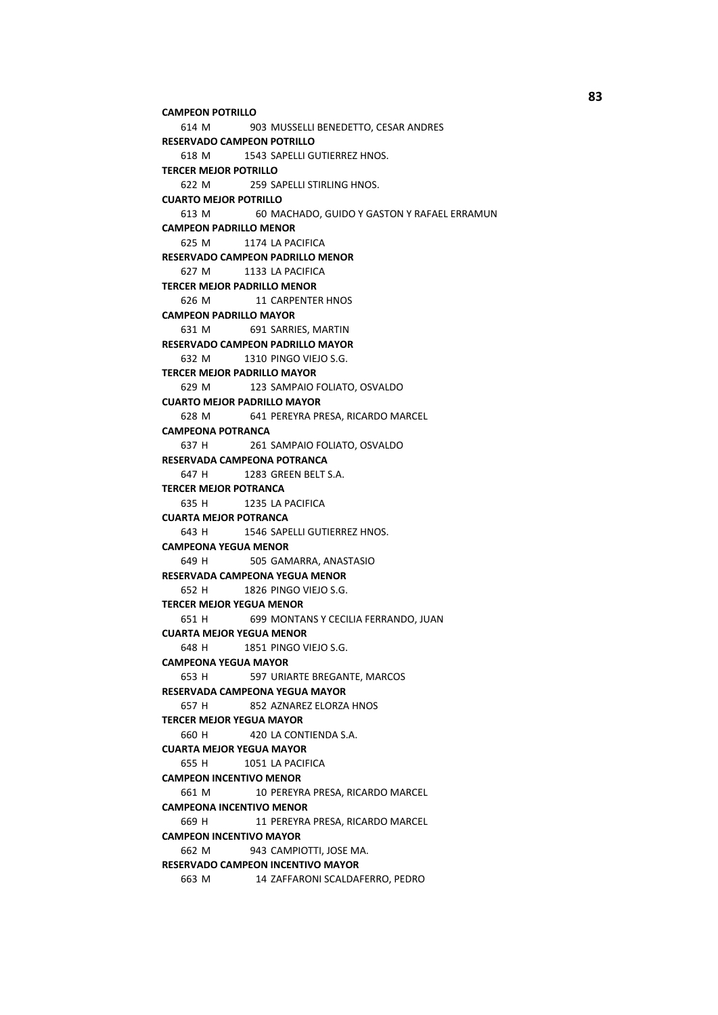```
614 M 903 MUSSELLI BENEDETTO, CESAR ANDRES
   618 M 1543 SAPELLI GUTIERREZ HNOS.
   622 M 259 SAPELLI STIRLING HNOS.
   613 M 60 MACHADO, GUIDO Y GASTON Y RAFAEL ERRAMUN
   625 M 1174 LA PACIFICA
   627 M 1133 LA PACIFICA
   626 M 11 CARPENTER HNOS
   631 M 691 SARRIES, MARTIN
   632 M 1310 PINGO VIEJO S.G.
   629 M 123 SAMPAIO FOLIATO, OSVALDO
   628 M 641 PEREYRA PRESA, RICARDO MARCEL
   637 H 261 SAMPAIO FOLIATO, OSVALDO
   647 H 1283 GREEN BELT S.A.
   635 H 1235 LA PACIFICA
   643 H 1546 SAPELLI GUTIERREZ HNOS.
   649 H 505 GAMARRA, ANASTASIO
   652 H 1826 PINGO VIEJO S.G.
   651 H 699 MONTANS Y CECILIA FERRANDO, JUAN
   648 H 1851 PINGO VIEIO S.G.
   653 H 597 URIARTE BREGANTE, MARCOS
   657 H 852 AZNAREZ ELORZA HNOS
   660 H 420 LA CONTIENDA S.A.
   655 H 1051 LA PACIFICA
   661 M 10 PEREYRA PRESA, RICARDO MARCEL
   669 H 11 PEREYRA PRESA, RICARDO MARCEL
   662 M 943 CAMPIOTTI, JOSE MA.
   663 M 14 ZAFFARONI SCALDAFERRO, PEDRO
CAMPEON INCENTIVO MENOR 
CAMPEONA INCENTIVO MENOR 
CAMPEON INCENTIVO MAYOR 
RESERVADO CAMPEON INCENTIVO MAYOR 
TERCER MEJOR YEGUA MENOR 
CUARTA MEJOR YEGUA MENOR 
CAMPEONA YEGUA MAYOR 
RESERVADA CAMPEONA YEGUA MAYOR 
TERCER MEJOR YEGUA MAYOR 
CUARTA MEJOR YEGUA MAYOR 
CAMPEONA POTRANCA 
RESERVADA CAMPEONA POTRANCA 
TERCER MEJOR POTRANCA 
CUARTA MEJOR POTRANCA 
CAMPEONA YEGUA MENOR 
RESERVADA CAMPEONA YEGUA MENOR 
RESERVADO CAMPEON PADRILLO MENOR 
TERCER MEJOR PADRILLO MENOR 
CAMPEON PADRILLO MAYOR 
RESERVADO CAMPEON PADRILLO MAYOR 
TERCER MEJOR PADRILLO MAYOR 
CUARTO MEJOR PADRILLO MAYOR 
CAMPEON POTRILLO 
RESERVADO CAMPEON POTRILLO 
TERCER MEJOR POTRILLO 
CUARTO MEJOR POTRILLO 
CAMPEON PADRILLO MENOR
```